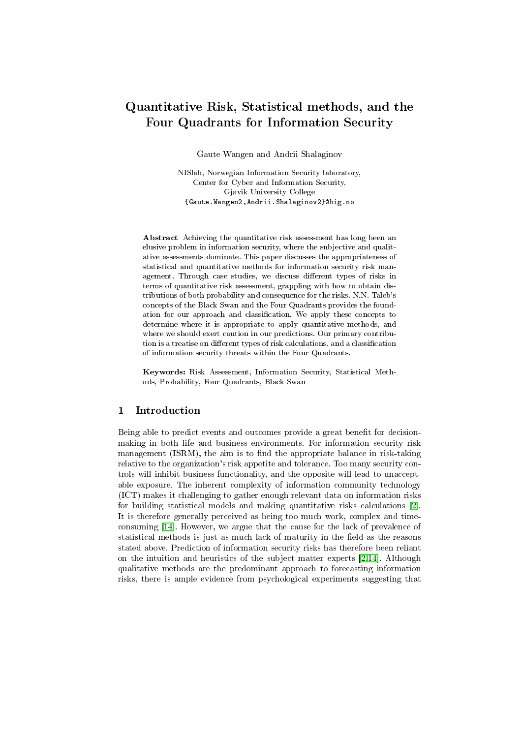# <span id="page-0-0"></span>Quantitative Risk, Statistical methods, and the Four Quadrants for Information Security

Gaute Wangen and Andrii Shalaginov

NISlab, Norwegian Information Security laboratory, Center for Cyber and Information Security, Gjøvik University College {Gaute.Wangen2,Andrii.Shalaginov2}@hig.no

Abstract Achieving the quantitative risk assessment has long been an elusive problem in information security, where the subjective and qualitative assessments dominate. This paper discusses the appropriateness of statistical and quantitative methods for information security risk management. Through case studies, we discuss different types of risks in terms of quantitative risk assessment, grappling with how to obtain distributions of both probability and consequence for the risks. N.N. Taleb's concepts of the Black Swan and the Four Quadrants provides the foundation for our approach and classification. We apply these concepts to determine where it is appropriate to apply quantitative methods, and where we should exert caution in our predictions. Our primary contribution is a treatise on different types of risk calculations, and a classification of information security threats within the Four Quadrants.

Keywords: Risk Assessment, Information Security, Statistical Methods, Probability, Four Quadrants, Black Swan

## 1 Introduction

Being able to predict events and outcomes provide a great benefit for decisionmaking in both life and business environments. For information security risk management (ISRM), the aim is to find the appropriate balance in risk-taking relative to the organization's risk appetite and tolerance. Too many security controls will inhibit business functionality, and the opposite will lead to unacceptable exposure. The inherent complexity of information community technology (ICT) makes it challenging to gather enough relevant data on information risks for building statistical models and making quantitative risks calculations [\[2\]](#page-15-0). It is therefore generally perceived as being too much work, complex and timeconsuming [\[14\]](#page-15-1). However, we argue that the cause for the lack of prevalence of statistical methods is just as much lack of maturity in the field as the reasons stated above. Prediction of information security risks has therefore been reliant on the intuition and heuristics of the subject matter experts [\[2](#page-15-0)[,14\]](#page-15-1). Although qualitative methods are the predominant approach to forecasting information risks, there is ample evidence from psychological experiments suggesting that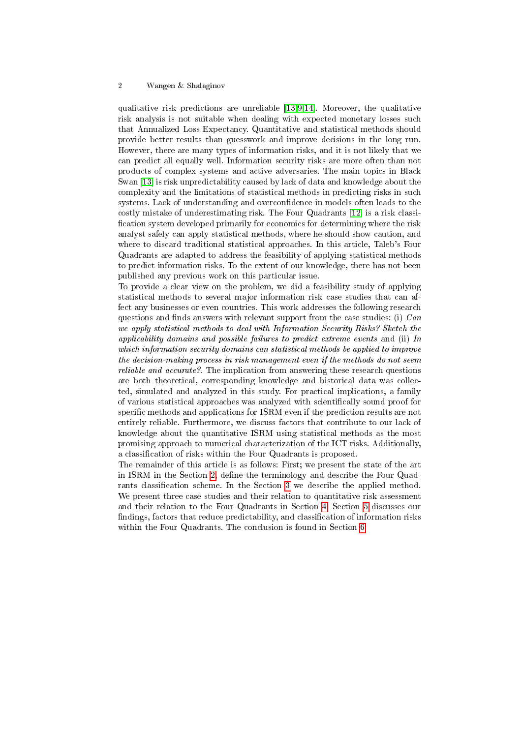<span id="page-1-0"></span>qualitative risk predictions are unreliable [\[13,](#page-15-2)[9,](#page-15-3)[14\]](#page-15-1). Moreover, the qualitative risk analysis is not suitable when dealing with expected monetary losses such that Annualized Loss Expectancy. Quantitative and statistical methods should provide better results than guesswork and improve decisions in the long run. However, there are many types of information risks, and it is not likely that we can predict all equally well. Information security risks are more often than not products of complex systems and active adversaries. The main topics in Black Swan [\[13\]](#page-15-2) is risk unpredictability caused by lack of data and knowledge about the complexity and the limitations of statistical methods in predicting risks in such systems. Lack of understanding and overconfidence in models often leads to the costly mistake of underestimating risk. The Four Quadrants [\[12\]](#page-15-4) is a risk classi fication system developed primarily for economics for determining where the risk analyst safely can apply statistical methods, where he should show caution, and where to discard traditional statistical approaches. In this article, Taleb's Four Quadrants are adapted to address the feasibility of applying statistical methods to predict information risks. To the extent of our knowledge, there has not been published any previous work on this particular issue.

To provide a clear view on the problem, we did a feasibility study of applying statistical methods to several major information risk case studies that can affect any businesses or even countries. This work addresses the following research questions and finds answers with relevant support from the case studies: (i)  $Can$ we apply statistical methods to deal with Information Security Risks? Sketch the applicability domains and possible failures to predict extreme events and (ii) In which information security domains can statistical methods be applied to improve the decision-making process in risk management even if the methods do not seem reliable and accurate?. The implication from answering these research questions are both theoretical, corresponding knowledge and historical data was collected, simulated and analyzed in this study. For practical implications, a family of various statistical approaches was analyzed with scientifically sound proof for specific methods and applications for ISRM even if the prediction results are not entirely reliable. Furthermore, we discuss factors that contribute to our lack of knowledge about the quantitative ISRM using statistical methods as the most promising approach to numerical characterization of the ICT risks. Additionally, a classification of risks within the Four Quadrants is proposed.

The remainder of this article is as follows: First; we present the state of the art in ISRM in the Section [2,](#page-2-0) define the terminology and describe the Four Quad-rants classification scheme. In the Section [3](#page-3-0) we describe the applied method. We present three case studies and their relation to quantitative risk assessment and their relation to the Four Quadrants in Section [4.](#page-5-0) Section [5](#page-12-0) discusses our findings, factors that reduce predictability, and classification of information risks within the Four Quadrants. The conclusion is found in Section [6.](#page-14-0)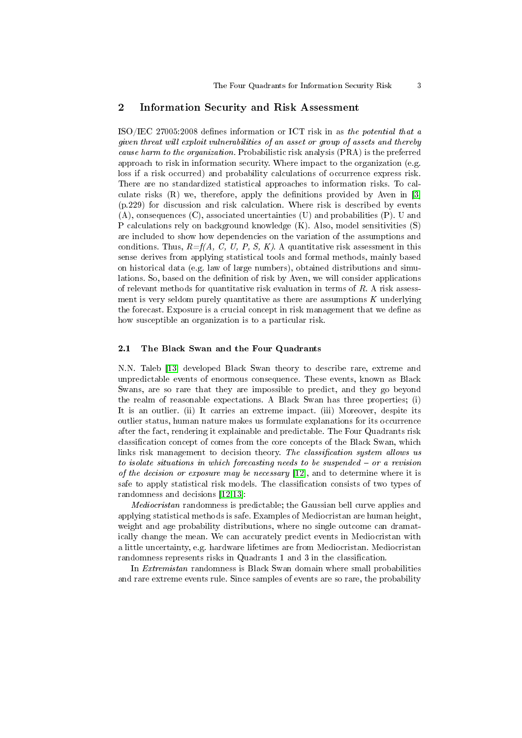## <span id="page-2-1"></span><span id="page-2-0"></span>2 Information Security and Risk Assessment

ISO/IEC 27005:2008 denes information or ICT risk in as the potential that a given threat will exploit vulnerabilities of an asset or group of assets and thereby cause harm to the organization. Probabilistic risk analysis (PRA) is the preferred approach to risk in information security. Where impact to the organization (e.g. loss if a risk occurred) and probability calculations of occurrence express risk. There are no standardized statistical approaches to information risks. To calculate risks  $(R)$  we, therefore, apply the definitions provided by Aven in  $[3]$ (p.229) for discussion and risk calculation. Where risk is described by events (A), consequences (C), associated uncertainties (U) and probabilities (P). U and P calculations rely on background knowledge (K). Also, model sensitivities (S) are included to show how dependencies on the variation of the assumptions and conditions. Thus,  $R=f(A, C, U, P, S, K)$ . A quantitative risk assessment in this sense derives from applying statistical tools and formal methods, mainly based on historical data (e.g. law of large numbers), obtained distributions and simulations. So, based on the definition of risk by Aven, we will consider applications of relevant methods for quantitative risk evaluation in terms of  $R$ . A risk assessment is very seldom purely quantitative as there are assumptions  $K$  underlying the forecast. Exposure is a crucial concept in risk management that we define as how susceptible an organization is to a particular risk.

#### 2.1 The Black Swan and the Four Quadrants

N.N. Taleb [\[13\]](#page-15-2) developed Black Swan theory to describe rare, extreme and unpredictable events of enormous consequence. These events, known as Black Swans, are so rare that they are impossible to predict, and they go beyond the realm of reasonable expectations. A Black Swan has three properties; (i) It is an outlier. (ii) It carries an extreme impact. (iii) Moreover, despite its outlier status, human nature makes us formulate explanations for its occurrence after the fact, rendering it explainable and predictable. The Four Quadrants risk classification concept of comes from the core concepts of the Black Swan, which links risk management to decision theory. The classification system allows us to isolate situations in which forecasting needs to be suspended  $-$  or a revision of the decision or exposure may be necessary [\[12\]](#page-15-4), and to determine where it is safe to apply statistical risk models. The classification consists of two types of randomness and decisions [\[12,](#page-15-4)[13\]](#page-15-2):

Mediocristan randomness is predictable; the Gaussian bell curve applies and applying statistical methods is safe. Examples of Mediocristan are human height, weight and age probability distributions, where no single outcome can dramatically change the mean. We can accurately predict events in Mediocristan with a little uncertainty, e.g. hardware lifetimes are from Mediocristan. Mediocristan randomness represents risks in Quadrants 1 and 3 in the classification.

In Extremistan randomness is Black Swan domain where small probabilities and rare extreme events rule. Since samples of events are so rare, the probability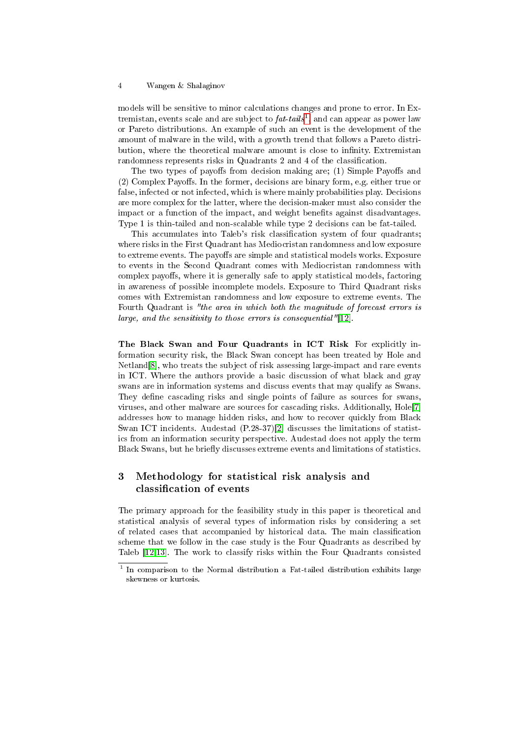<span id="page-3-2"></span>models will be sensitive to minor calculations changes and prone to error. In Extremistan, events scale and are subject to  $\mathit{fat-tails}^1,$  $\mathit{fat-tails}^1,$  $\mathit{fat-tails}^1,$  and can appear as power law or Pareto distributions. An example of such an event is the development of the amount of malware in the wild, with a growth trend that follows a Pareto distribution, where the theoretical malware amount is close to infinity. Extremistan randomness represents risks in Quadrants 2 and 4 of the classification.

The two types of payoffs from decision making are; (1) Simple Payoffs and  $(2)$  Complex Payoffs. In the former, decisions are binary form, e.g. either true or false, infected or not infected, which is where mainly probabilities play. Decisions are more complex for the latter, where the decision-maker must also consider the impact or a function of the impact, and weight benefits against disadvantages. Type 1 is thin-tailed and non-scalable while type 2 decisions can be fat-tailed.

This accumulates into Taleb's risk classification system of four quadrants; where risks in the First Quadrant has Mediocristan randomness and low exposure to extreme events. The payoffs are simple and statistical models works. Exposure to events in the Second Quadrant comes with Mediocristan randomness with complex payoffs, where it is generally safe to apply statistical models, factoring in awareness of possible incomplete models. Exposure to Third Quadrant risks comes with Extremistan randomness and low exposure to extreme events. The Fourth Quadrant is "the area in which both the magnitude of forecast errors is large, and the sensitivity to those errors is consequential"[\[12\]](#page-15-4).

The Black Swan and Four Quadrants in ICT Risk For explicitly information security risk, the Black Swan concept has been treated by Hole and Netland[\[8\]](#page-15-6), who treats the subject of risk assessing large-impact and rare events in ICT. Where the authors provide a basic discussion of what black and gray swans are in information systems and discuss events that may qualify as Swans. They define cascading risks and single points of failure as sources for swans, viruses, and other malware are sources for cascading risks. Additionally, Hole[\[7\]](#page-15-7) addresses how to manage hidden risks, and how to recover quickly from Black Swan ICT incidents. Audestad (P.28-37)[\[2\]](#page-15-0) discusses the limitations of statistics from an information security perspective. Audestad does not apply the term Black Swans, but he briefly discusses extreme events and limitations of statistics.

# <span id="page-3-0"></span>3 Methodology for statistical risk analysis and classification of events

The primary approach for the feasibility study in this paper is theoretical and statistical analysis of several types of information risks by considering a set of related cases that accompanied by historical data. The main classification scheme that we follow in the case study is the Four Quadrants as described by Taleb [\[12,](#page-15-4)[13\]](#page-15-2). The work to classify risks within the Four Quadrants consisted

<span id="page-3-1"></span><sup>&</sup>lt;sup>1</sup> In comparison to the Normal distribution a Fat-tailed distribution exhibits large skewness or kurtosis.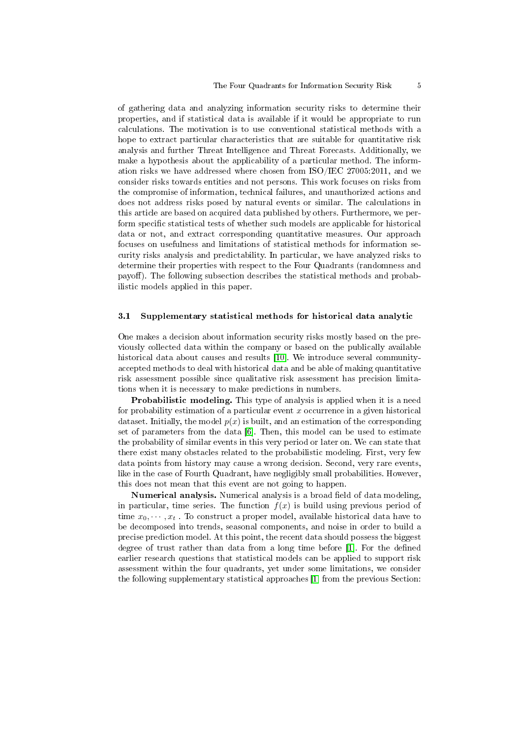<span id="page-4-0"></span>of gathering data and analyzing information security risks to determine their properties, and if statistical data is available if it would be appropriate to run calculations. The motivation is to use conventional statistical methods with a hope to extract particular characteristics that are suitable for quantitative risk analysis and further Threat Intelligence and Threat Forecasts. Additionally, we make a hypothesis about the applicability of a particular method. The information risks we have addressed where chosen from ISO/IEC 27005:2011, and we consider risks towards entities and not persons. This work focuses on risks from the compromise of information, technical failures, and unauthorized actions and does not address risks posed by natural events or similar. The calculations in this article are based on acquired data published by others. Furthermore, we perform specific statistical tests of whether such models are applicable for historical data or not, and extract corresponding quantitative measures. Our approach focuses on usefulness and limitations of statistical methods for information security risks analysis and predictability. In particular, we have analyzed risks to determine their properties with respect to the Four Quadrants (randomness and payo). The following subsection describes the statistical methods and probabilistic models applied in this paper.

#### 3.1 Supplementary statistical methods for historical data analytic

One makes a decision about information security risks mostly based on the previously collected data within the company or based on the publically available historical data about causes and results [\[10\]](#page-15-8). We introduce several communityaccepted methods to deal with historical data and be able of making quantitative risk assessment possible since qualitative risk assessment has precision limitations when it is necessary to make predictions in numbers.

Probabilistic modeling. This type of analysis is applied when it is a need for probability estimation of a particular event x occurrence in a given historical dataset. Initially, the model  $p(x)$  is built, and an estimation of the corresponding set of parameters from the data [\[6\]](#page-15-9). Then, this model can be used to estimate the probability of similar events in this very period or later on. We can state that there exist many obstacles related to the probabilistic modeling. First, very few data points from history may cause a wrong decision. Second, very rare events, like in the case of Fourth Quadrant, have negligibly small probabilities. However, this does not mean that this event are not going to happen.

Numerical analysis. Numerical analysis is a broad field of data modeling, in particular, time series. The function  $f(x)$  is build using previous period of time  $x_0, \dots, x_t$ . To construct a proper model, available historical data have to be decomposed into trends, seasonal components, and noise in order to build a precise prediction model. At this point, the recent data should possess the biggest degree of trust rather than data from a long time before [\[1\]](#page-15-10). For the defined earlier research questions that statistical models can be applied to support risk assessment within the four quadrants, yet under some limitations, we consider the following supplementary statistical approaches [\[1\]](#page-15-10) from the previous Section: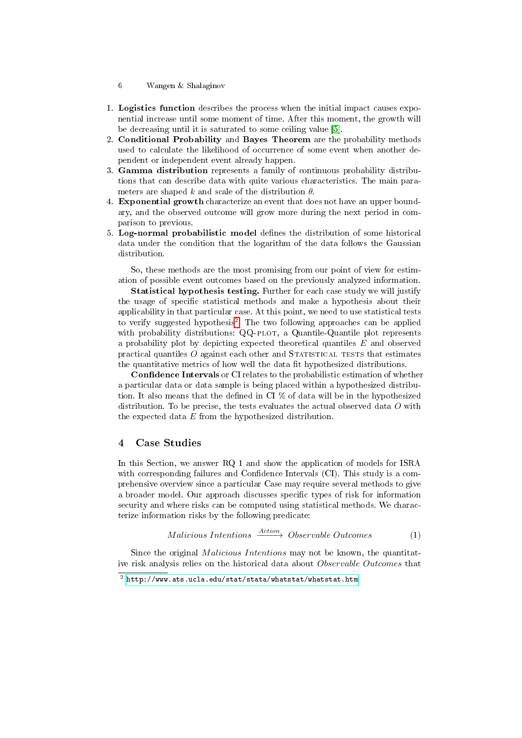- <span id="page-5-2"></span>6 Wangen & Shalaginov
- 1. Logistics function describes the process when the initial impact causes exponential increase until some moment of time. After this moment, the growth will be decreasing until it is saturated to some ceiling value [\[5\]](#page-15-11).
- 2. Conditional Probability and Bayes Theorem are the probability methods used to calculate the likelihood of occurrence of some event when another dependent or independent event already happen.
- 3. Gamma distribution represents a family of continuous probability distributions that can describe data with quite various characteristics. The main parameters are shaped k and scale of the distribution  $\theta$ .
- 4. Exponential growth characterize an event that does not have an upper boundary, and the observed outcome will grow more during the next period in comparison to previous.
- 5. Log-normal probabilistic model denes the distribution of some historical data under the condition that the logarithm of the data follows the Gaussian distribution.

So, these methods are the most promising from our point of view for estimation of possible event outcomes based on the previously analyzed information.

Statistical hypothesis testing. Further for each case study we will justify the usage of specific statistical methods and make a hypothesis about their applicability in that particular case. At this point, we need to use statistical tests to verify suggested hypothesis[2](#page-5-1) . The two following approaches can be applied with probability distributions: QQ-PLOT, a Quantile-Quantile plot represents a probability plot by depicting expected theoretical quantiles  $E$  and observed practical quantiles  $O$  against each other and STATISTICAL TESTS that estimates the quantitative metrics of how well the data fit hypothesized distributions.

Confidence Intervals or CI relates to the probabilistic estimation of whether a particular data or data sample is being placed within a hypothesized distribution. It also means that the defined in CI  $\%$  of data will be in the hypothesized distribution. To be precise, the tests evaluates the actual observed data  $O$  with the expected data  $E$  from the hypothesized distribution.

## <span id="page-5-0"></span>4 Case Studies

In this Section, we answer RQ 1 and show the application of models for ISRA with corresponding failures and Confidence Intervals (CI). This study is a comprehensive overview since a particular Case may require several methods to give a broader model. Our approach discusses specific types of risk for information security and where risks can be computed using statistical methods. We characterize information risks by the following predicate:

$$
Malicious\ Intentions \xrightarrow{Action} Observeable\ Outcomes \tag{1}
$$

Since the original *Malicious Intentions* may not be known, the quantitative risk analysis relies on the historical data about Observable Outcomes that

<span id="page-5-1"></span> $^2$  <http://www.ats.ucla.edu/stat/stata/whatstat/whatstat.htm>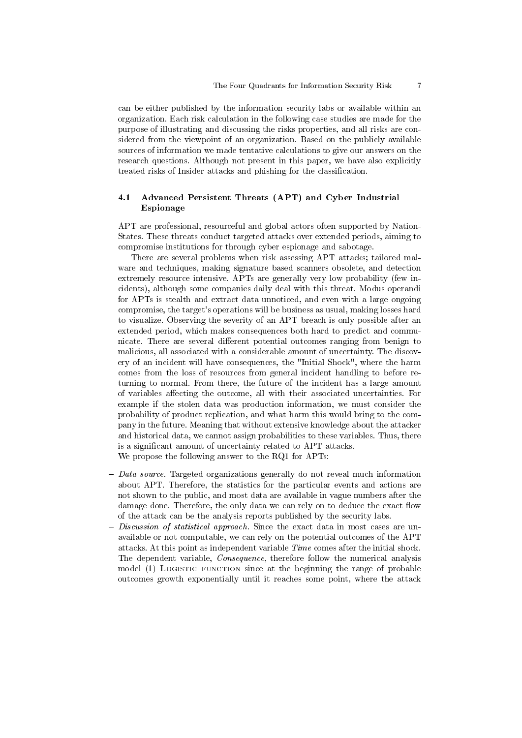can be either published by the information security labs or available within an organization. Each risk calculation in the following case studies are made for the purpose of illustrating and discussing the risks properties, and all risks are considered from the viewpoint of an organization. Based on the publicly available sources of information we made tentative calculations to give our answers on the research questions. Although not present in this paper, we have also explicitly treated risks of Insider attacks and phishing for the classification.

# 4.1 Advanced Persistent Threats (APT) and Cyber Industrial Espionage

APT are professional, resourceful and global actors often supported by Nation-States. These threats conduct targeted attacks over extended periods, aiming to compromise institutions for through cyber espionage and sabotage.

There are several problems when risk assessing APT attacks; tailored malware and techniques, making signature based scanners obsolete, and detection extremely resource intensive. APTs are generally very low probability (few incidents), although some companies daily deal with this threat. Modus operandi for APTs is stealth and extract data unnoticed, and even with a large ongoing compromise, the target's operations will be business as usual, making losses hard to visualize. Observing the severity of an APT breach is only possible after an extended period, which makes consequences both hard to predict and communicate. There are several different potential outcomes ranging from benign to malicious, all associated with a considerable amount of uncertainty. The discovery of an incident will have consequences, the "Initial Shock", where the harm comes from the loss of resources from general incident handling to before returning to normal. From there, the future of the incident has a large amount of variables affecting the outcome, all with their associated uncertainties. For example if the stolen data was production information, we must consider the probability of product replication, and what harm this would bring to the company in the future. Meaning that without extensive knowledge about the attacker and historical data, we cannot assign probabilities to these variables. Thus, there is a signicant amount of uncertainty related to APT attacks. We propose the following answer to the RQ1 for APTs:

- $-Data\ source$ . Targeted organizations generally do not reveal much information about APT. Therefore, the statistics for the particular events and actions are not shown to the public, and most data are available in vague numbers after the damage done. Therefore, the only data we can rely on to deduce the exact flow of the attack can be the analysis reports published by the security labs.
- Discussion of statistical approach. Since the exact data in most cases are unavailable or not computable, we can rely on the potential outcomes of the APT attacks. At this point as independent variable Time comes after the initial shock. The dependent variable, Consequence, therefore follow the numerical analysis model (1) LOGISTIC FUNCTION since at the beginning the range of probable outcomes growth exponentially until it reaches some point, where the attack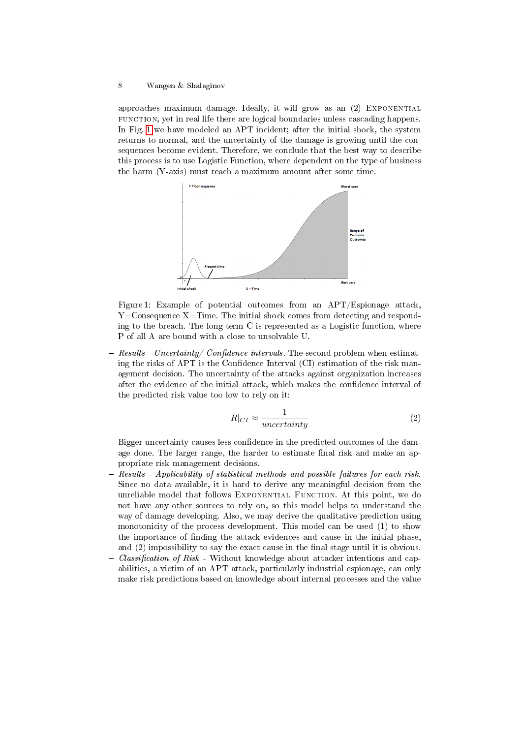approaches maximum damage. Ideally, it will grow as an (2) Exponential function, yet in real life there are logical boundaries unless cascading happens. In Fig. [1](#page-7-0) we have modeled an APT incident; after the initial shock, the system returns to normal, and the uncertainty of the damage is growing until the consequences become evident. Therefore, we conclude that the best way to describe this process is to use Logistic Function, where dependent on the type of business the harm (Y-axis) must reach a maximum amount after some time.

<span id="page-7-0"></span>

Figure 1: Example of potential outcomes from an APT/Espionage attack,  $Y=Consequence X=Time.$  The initial shock comes from detecting and responding to the breach. The long-term C is represented as a Logistic function, where P of all A are bound with a close to unsolvable U.

- Results - Uncertainty/ Confidence intervals. The second problem when estimating the risks of APT is the Confidence Interval  $(CI)$  estimation of the risk management decision. The uncertainty of the attacks against organization increases after the evidence of the initial attack, which makes the condence interval of the predicted risk value too low to rely on it:

$$
R|_{CI} \approx \frac{1}{\text{uncertainty}}\tag{2}
$$

Bigger uncertainty causes less condence in the predicted outcomes of the damage done. The larger range, the harder to estimate final risk and make an appropriate risk management decisions.

- Results Applicability of statistical methods and possible failures for each risk. Since no data available, it is hard to derive any meaningful decision from the unreliable model that follows EXPONENTIAL FUNCTION. At this point, we do not have any other sources to rely on, so this model helps to understand the way of damage developing. Also, we may derive the qualitative prediction using monotonicity of the process development. This model can be used (1) to show the importance of finding the attack evidences and cause in the initial phase, and  $(2)$  impossibility to say the exact cause in the final stage until it is obvious.
- $\overline{C}$  Classification of Risk Without knowledge about attacker intentions and capabilities, a victim of an APT attack, particularly industrial espionage, can only make risk predictions based on knowledge about internal processes and the value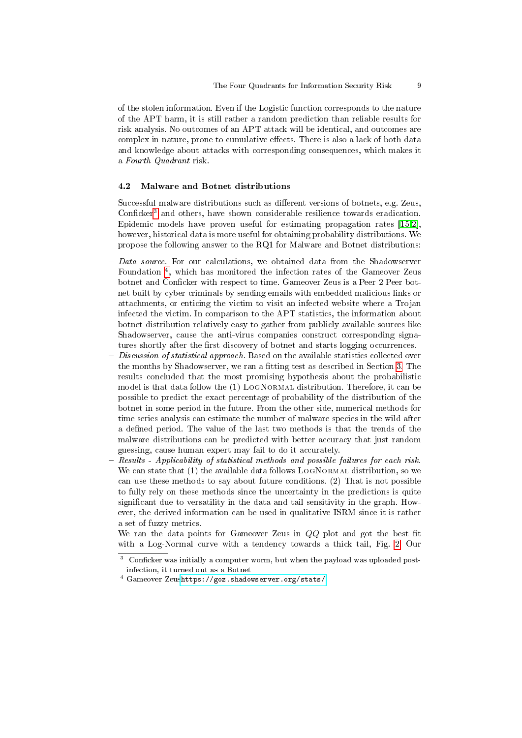<span id="page-8-2"></span>of the stolen information. Even if the Logistic function corresponds to the nature of the APT harm, it is still rather a random prediction than reliable results for risk analysis. No outcomes of an APT attack will be identical, and outcomes are complex in nature, prone to cumulative effects. There is also a lack of both data and knowledge about attacks with corresponding consequences, which makes it a Fourth Quadrant risk.

#### 4.2 Malware and Botnet distributions

Successful malware distributions such as different versions of botnets, e.g. Zeus, Conficker<sup>[3](#page-8-0)</sup> and others, have shown considerable resilience towards eradication. Epidemic models have proven useful for estimating propagation rates [\[15](#page-15-12)[,2\]](#page-15-0), however, historical data is more useful for obtaining probability distributions. We propose the following answer to the RQ1 for Malware and Botnet distributions:

- $-Data\ source.$  For our calculations, we obtained data from the Shadowserver Foundation<sup>[4](#page-8-1)</sup>, which has monitored the infection rates of the Gameover Zeus botnet and Conficker with respect to time. Gameover Zeus is a Peer 2 Peer botnet built by cyber criminals by sending emails with embedded malicious links or attachments, or enticing the victim to visit an infected website where a Trojan infected the victim. In comparison to the APT statistics, the information about botnet distribution relatively easy to gather from publicly available sources like Shadowserver, cause the anti-virus companies construct corresponding signatures shortly after the first discovery of botnet and starts logging occurrences.
- Discussion of statistical approach. Based on the available statistics collected over the months by Shadowserver, we ran a tting test as described in Section [3.](#page-3-0) The results concluded that the most promising hypothesis about the probabilistic model is that data follow the (1) LogNormal distribution. Therefore, it can be possible to predict the exact percentage of probability of the distribution of the botnet in some period in the future. From the other side, numerical methods for time series analysis can estimate the number of malware species in the wild after a defined period. The value of the last two methods is that the trends of the malware distributions can be predicted with better accuracy that just random guessing, cause human expert may fail to do it accurately.
- Results Applicability of statistical methods and possible failures for each risk. We can state that (1) the available data follows LOGNORMAL distribution, so we can use these methods to say about future conditions. (2) That is not possible to fully rely on these methods since the uncertainty in the predictions is quite significant due to versatility in the data and tail sensitivity in the graph. However, the derived information can be used in qualitative ISRM since it is rather a set of fuzzy metrics.

We ran the data points for Gameover Zeus in  $QQ$  plot and got the best fit with a Log-Normal curve with a tendency towards a thick tail, Fig. [2.](#page-9-0) Our

<span id="page-8-0"></span> $3$  Conficker was initially a computer worm, but when the payload was uploaded postinfection, it turned out as a Botnet

<span id="page-8-1"></span> $^4$  Gameover Zeu[shttps://goz.shadowserver.org/stats/](https://goz.shadowserver.org/stats/)  $\,$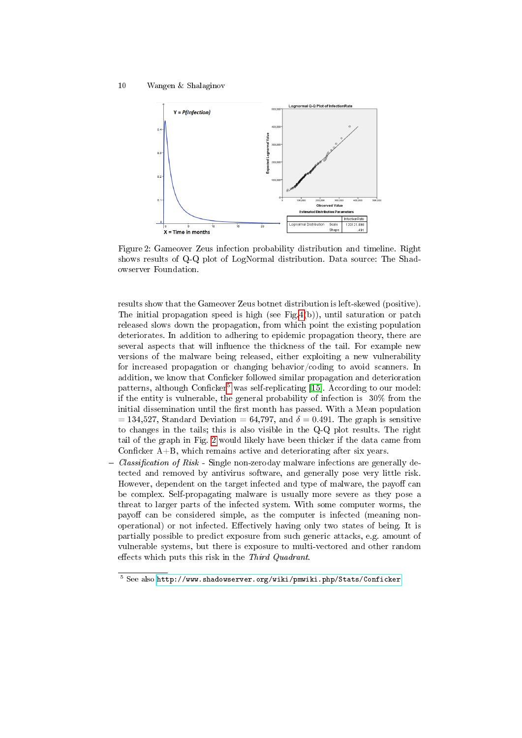

Figure 2: Gameover Zeus infection probability distribution and timeline. Right shows results of Q-Q plot of LogNormal distribution. Data source: The Shadowserver Foundation.

results show that the Gameover Zeus botnet distribution is left-skewed (positive). The initial propagation speed is high (see Fig[.4\(](#page-12-1)b)), until saturation or patch released slows down the propagation, from which point the existing population deteriorates. In addition to adhering to epidemic propagation theory, there are several aspects that will influence the thickness of the tail. For example new versions of the malware being released, either exploiting a new vulnerability for increased propagation or changing behavior/coding to avoid scanners. In addition, we know that Conficker followed similar propagation and deterioration patterns, although Conficker<sup>[5](#page-9-1)</sup> was self-replicating [\[15\]](#page-15-12). According to our model: if the entity is vulnerable, the general probability of infection is  $30\%$  from the initial dissemination until the first month has passed. With a Mean population  $= 134,527$ , Standard Deviation  $= 64,797$ , and  $\delta = 0.491$ . The graph is sensitive to changes in the tails; this is also visible in the Q-Q plot results. The right tail of the graph in Fig. [2](#page-9-0) would likely have been thicker if the data came from Conficker  $A+B$ , which remains active and deteriorating after six years.

*Classification of Risk* - Single non-zeroday malware infections are generally detected and removed by antivirus software, and generally pose very little risk. However, dependent on the target infected and type of malware, the payoff can be complex. Self-propagating malware is usually more severe as they pose a threat to larger parts of the infected system. With some computer worms, the payoff can be considered simple, as the computer is infected (meaning nonoperational) or not infected. Effectively having only two states of being. It is partially possible to predict exposure from such generic attacks, e.g. amount of vulnerable systems, but there is exposure to multi-vectored and other random effects which puts this risk in the  $Third\ Quadrant$ .

<span id="page-9-2"></span><span id="page-9-0"></span>

<span id="page-9-1"></span> $^5$  See also <http://www.shadowserver.org/wiki/pmwiki.php/Stats/Conficker>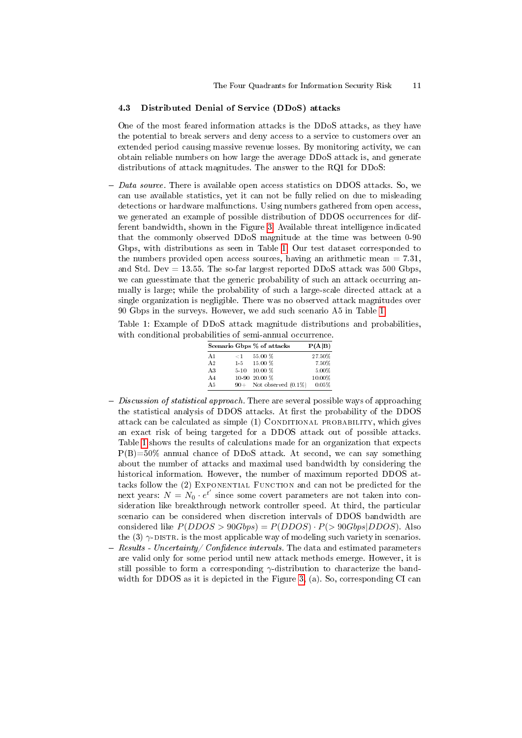#### 4.3 Distributed Denial of Service (DDoS) attacks

One of the most feared information attacks is the DDoS attacks, as they have the potential to break servers and deny access to a service to customers over an extended period causing massive revenue losses. By monitoring activity, we can obtain reliable numbers on how large the average DDoS attack is, and generate distributions of attack magnitudes. The answer to the RQ1 for DDoS:

 $-Data\ source$ . There is available open access statistics on DDOS attacks. So, we can use available statistics, yet it can not be fully relied on due to misleading detections or hardware malfunctions. Using numbers gathered from open access, we generated an example of possible distribution of DDOS occurrences for different bandwidth, shown in the Figure [3.](#page-11-0) Available threat intelligence indicated that the commonly observed DDoS magnitude at the time was between 0-90 Gbps, with distributions as seen in Table [1.](#page-10-0) Our test dataset corresponded to the numbers provided open access sources, having an arithmetic mean  $= 7.31$ , and Std. Dev  $= 13.55$ . The so-far largest reported DDoS attack was 500 Gbps, we can guesstimate that the generic probability of such an attack occurring annually is large; while the probability of such a large-scale directed attack at a single organization is negligible. There was no observed attack magnitudes over 90 Gbps in the surveys. However, we add such scenario A5 in Table [1.](#page-10-0)

<span id="page-10-0"></span>Table 1: Example of DDoS attack magnitude distributions and probabilities, with conditional probabilities of semi-annual occurrence.

|                |          | Scenario Gbps % of attacks | P(A B) |
|----------------|----------|----------------------------|--------|
| A <sub>1</sub> | $<$ 1    | 55.00 %                    | 27.50% |
| A <sub>2</sub> | $1 - 5$  | 15.00 %                    | 7.50%  |
| A3             | $5 - 10$ | 10.00 %                    | 5.00%  |
| AA             |          | 10-90 20.00 %              | 10.00% |
| A <sub>5</sub> | $90 +$   | Not observed $(0.1\%)$     | 0.05%  |

- $-Discussion$  of statistical approach. There are several possible ways of approaching the statistical analysis of DDOS attacks. At first the probability of the DDOS attack can be calculated as simple  $(1)$  CONDITIONAL PROBABILITY, which gives an exact risk of being targeted for a DDOS attack out of possible attacks. Table [1](#page-10-0) shows the results of calculations made for an organization that expects  $P(B)=50\%$  annual chance of DDoS attack. At second, we can say something about the number of attacks and maximal used bandwidth by considering the historical information. However, the number of maximum reported DDOS attacks follow the (2) EXPONENTIAL FUNCTION and can not be predicted for the next years:  $N = N_0 \cdot e^{t'}$  since some covert parameters are not taken into consideration like breakthrough network controller speed. At third, the particular scenario can be considered when discretion intervals of DDOS bandwidth are considered like  $P(DDOS > 90Gbps) = P(DDOS) \cdot P(> 90Gbps|DDOS)$ . Also the (3)  $\gamma$ -DISTR. is the most applicable way of modeling such variety in scenarios.
- $Results$  Uncertainty/ Confidence intervals. The data and estimated parameters are valid only for some period until new attack methods emerge. However, it is still possible to form a corresponding  $\gamma$ -distribution to characterize the bandwidth for DDOS as it is depicted in the Figure [3,](#page-11-0) (a). So, corresponding CI can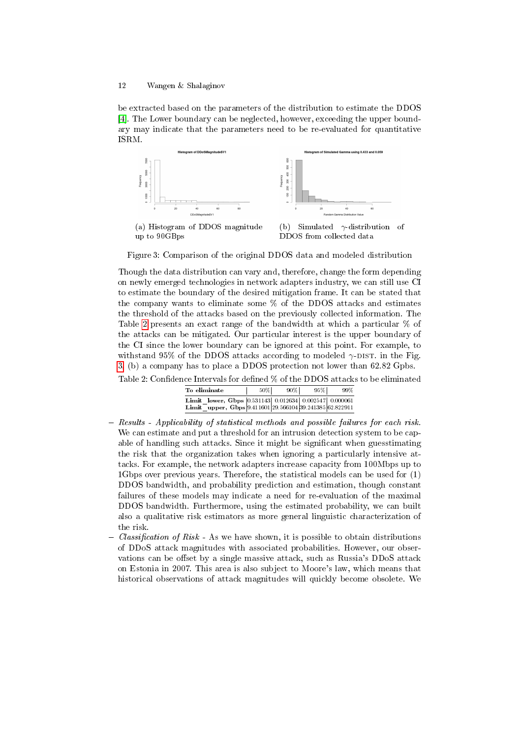<span id="page-11-2"></span>be extracted based on the parameters of the distribution to estimate the DDOS [\[4\]](#page-15-13). The Lower boundary can be neglected, however, exceeding the upper boundary may indicate that the parameters need to be re-evaluated for quantitative ISRM.

<span id="page-11-0"></span>

Figure 3: Comparison of the original DDOS data and modeled distribution

Though the data distribution can vary and, therefore, change the form depending on newly emerged technologies in network adapters industry, we can still use CI to estimate the boundary of the desired mitigation frame. It can be stated that the company wants to eliminate some  $\%$  of the DDOS attacks and estimates the threshold of the attacks based on the previously collected information. The Table [2](#page-11-1) presents an exact range of the bandwidth at which a particular % of the attacks can be mitigated. Our particular interest is the upper boundary of the CI since the lower boundary can be ignored at this point. For example, to withstand 95% of the DDOS attacks according to modeled  $\gamma$ -DIST. in the Fig. [3,](#page-11-0) (b) a company has to place a DDOS protection not lower than 62.82 Gpbs.

<span id="page-11-1"></span>Table 2: Confidence Intervals for defined  $\%$  of the DDOS attacks to be eliminated

| To eliminate                                                                                                          |  | $50\%$ | $90\%$ | $95\%$ | 99% |
|-----------------------------------------------------------------------------------------------------------------------|--|--------|--------|--------|-----|
| Limit_lower, Gbps  0.531143  0.012634  0.002547  0.000061<br>Limit_upper, Gbps 9.411601 29.566104 39.241385 62.822911 |  |        |        |        |     |
|                                                                                                                       |  |        |        |        |     |

- Results Applicability of statistical methods and possible failures for each risk. We can estimate and put a threshold for an intrusion detection system to be capable of handling such attacks. Since it might be significant when guesstimating the risk that the organization takes when ignoring a particularly intensive attacks. For example, the network adapters increase capacity from 100Mbps up to 1Gbps over previous years. Therefore, the statistical models can be used for (1) DDOS bandwidth, and probability prediction and estimation, though constant failures of these models may indicate a need for re-evaluation of the maximal DDOS bandwidth. Furthermore, using the estimated probability, we can built also a qualitative risk estimators as more general linguistic characterization of the risk.
- $\overline{C}$  *Classification of Risk* As we have shown, it is possible to obtain distributions of DDoS attack magnitudes with associated probabilities. However, our observations can be offset by a single massive attack, such as Russia's DDoS attack on Estonia in 2007. This area is also subject to Moore's law, which means that historical observations of attack magnitudes will quickly become obsolete. We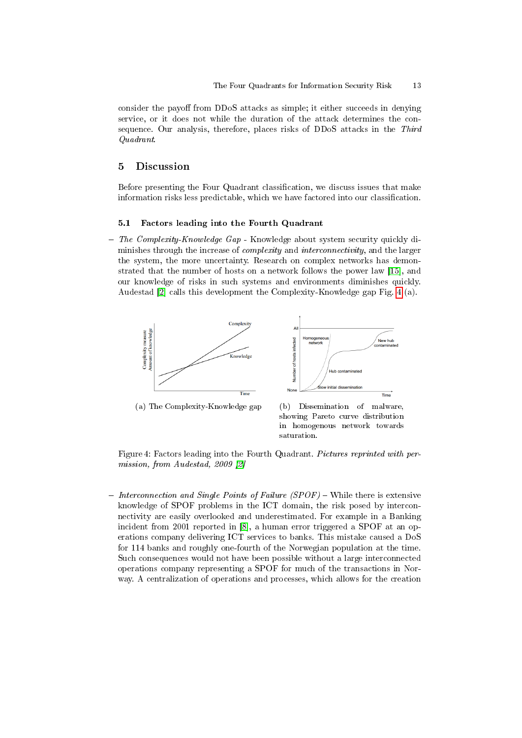<span id="page-12-2"></span>consider the payoff from DDoS attacks as simple; it either succeeds in denying service, or it does not while the duration of the attack determines the consequence. Our analysis, therefore, places risks of DDoS attacks in the Third Quadrant.

## <span id="page-12-0"></span>5 Discussion

Before presenting the Four Quadrant classification, we discuss issues that make information risks less predictable, which we have factored into our classification.

#### 5.1 Factors leading into the Fourth Quadrant

- The Complexity-Knowledge Gap - Knowledge about system security quickly diminishes through the increase of *complexity* and *interconnectivity*, and the larger the system, the more uncertainty. Research on complex networks has demonstrated that the number of hosts on a network follows the power law [\[15\]](#page-15-12), and our knowledge of risks in such systems and environments diminishes quickly. Audestad [\[2\]](#page-15-0) calls this development the Complexity-Knowledge gap Fig. [4](#page-12-1) (a).

<span id="page-12-1"></span>

(a) The Complexity-Knowledge gap (b) Dissemination of malware, showing Pareto curve distribution in homogenous network towards saturation.

Figure 4: Factors leading into the Fourth Quadrant. Pictures reprinted with permission, from Audestad, 2009 [\[2\]](#page-15-0)

- Interconnection and Single Points of Failure  $(SPOF)$  - While there is extensive knowledge of SPOF problems in the ICT domain, the risk posed by interconnectivity are easily overlooked and underestimated. For example in a Banking incident from 2001 reported in [\[8\]](#page-15-6), a human error triggered a SPOF at an operations company delivering ICT services to banks. This mistake caused a DoS for 114 banks and roughly one-fourth of the Norwegian population at the time. Such consequences would not have been possible without a large interconnected operations company representing a SPOF for much of the transactions in Norway. A centralization of operations and processes, which allows for the creation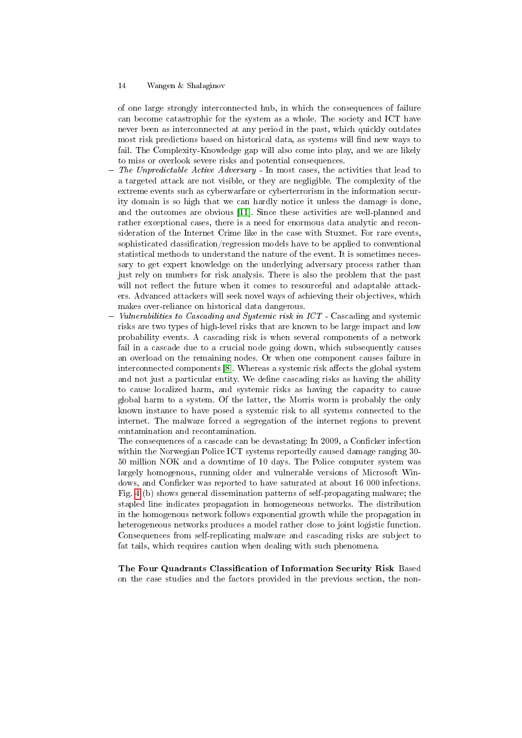<span id="page-13-0"></span>of one large strongly interconnected hub, in which the consequences of failure can become catastrophic for the system as a whole. The society and ICT have never been as interconnected at any period in the past, which quickly outdates most risk predictions based on historical data, as systems will find new ways to fail. The Complexity-Knowledge gap will also come into play, and we are likely to miss or overlook severe risks and potential consequences.

- The Unpredictable Active Adversary In most cases, the activities that lead to a targeted attack are not visible, or they are negligible. The complexity of the extreme events such as cyberwarfare or cyberterrorism in the information security domain is so high that we can hardly notice it unless the damage is done, and the outcomes are obvious [\[11\]](#page-15-14). Since these activities are well-planned and rather exceptional cases, there is a need for enormous data analytic and reconsideration of the Internet Crime like in the case with Stuxnet. For rare events, sophisticated classification/regression models have to be applied to conventional statistical methods to understand the nature of the event. It is sometimes necessary to get expert knowledge on the underlying adversary process rather than just rely on numbers for risk analysis. There is also the problem that the past will not reflect the future when it comes to resourceful and adaptable attackers. Advanced attackers will seek novel ways of achieving their objectives, which makes over-reliance on historical data dangerous.
- Vulnerabilities to Cascading and Systemic risk in ICT Cascading and systemic risks are two types of high-level risks that are known to be large impact and low probability events. A cascading risk is when several components of a network fail in a cascade due to a crucial node going down, which subsequently causes an overload on the remaining nodes. Or when one component causes failure in interconnected components  $[8]$ . Whereas a systemic risk affects the global system and not just a particular entity. We define cascading risks as having the ability to cause localized harm, and systemic risks as having the capacity to cause global harm to a system. Of the latter, the Morris worm is probably the only known instance to have posed a systemic risk to all systems connected to the internet. The malware forced a segregation of the internet regions to prevent contamination and recontamination.

The consequences of a cascade can be devastating: In 2009, a Conficker infection within the Norwegian Police ICT systems reportedly caused damage ranging 30- 50 million NOK and a downtime of 10 days. The Police computer system was largely homogenous, running older and vulnerable versions of Microsoft Windows, and Conficker was reported to have saturated at about 16 000 infections. Fig. [4](#page-12-1) (b) shows general dissemination patterns of self-propagating malware; the stapled line indicates propagation in homogeneous networks. The distribution in the homogenous network follows exponential growth while the propagation in heterogeneous networks produces a model rather close to joint logistic function. Consequences from self-replicating malware and cascading risks are subject to fat tails, which requires caution when dealing with such phenomena.

The Four Quadrants Classification of Information Security Risk Based on the case studies and the factors provided in the previous section, the non-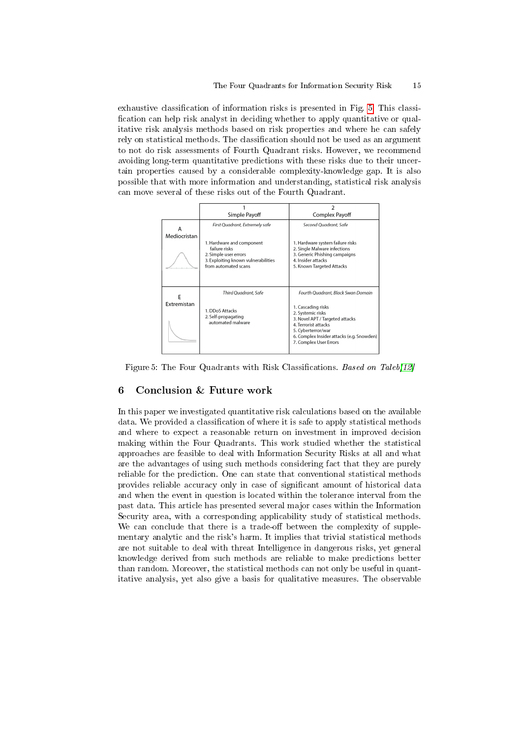<span id="page-14-2"></span>exhaustive classification of information risks is presented in Fig. [5.](#page-14-1) This classification can help risk analyst in deciding whether to apply quantitative or qualitative risk analysis methods based on risk properties and where he can safely rely on statistical methods. The classification should not be used as an argument to not do risk assessments of Fourth Quadrant risks. However, we recommend avoiding long-term quantitative predictions with these risks due to their uncertain properties caused by a considerable complexity-knowledge gap. It is also possible that with more information and understanding, statistical risk analysis can move several of these risks out of the Fourth Quadrant.

<span id="page-14-1"></span>

|                  |                                                                                                       | $\overline{2}$                                                                                                                                                                                                                        |  |
|------------------|-------------------------------------------------------------------------------------------------------|---------------------------------------------------------------------------------------------------------------------------------------------------------------------------------------------------------------------------------------|--|
|                  | Simple Payoff                                                                                         | Complex Payoff                                                                                                                                                                                                                        |  |
| Mediocristan     | First Quadrant, Extremely safe<br>1. Hardware and component                                           | Second Quadrant, Safe<br>1. Hardware system failure risks                                                                                                                                                                             |  |
|                  | failure risks<br>2. Simple user errors<br>3. Exploiting known vulnerabilities<br>from automated scans | 2. Single Malware infections<br>3. Generic Phishing campaigns<br>4. Insider attacks<br>5. Known Targeted Attacks                                                                                                                      |  |
| F<br>Extremistan | Third Quadrant, Safe<br>1. DDoS Attacks<br>2. Self-propagating<br>automated malware                   | Fourth Ouadrant, Black Swan Domain<br>1. Cascading risks<br>2. Systemic risks<br>3. Novel APT / Targeted attacks<br>4. Terrorist attacks<br>5. Cyberterror/war<br>6. Complex Insider attacks (e.g. Snowden)<br>7. Complex User Errors |  |

Figure 5: The Four Quadrants with Risk Classifications. Based on Taleb[\[12\]](#page-15-4)

# <span id="page-14-0"></span>6 Conclusion & Future work

In this paper we investigated quantitative risk calculations based on the available data. We provided a classification of where it is safe to apply statistical methods and where to expect a reasonable return on investment in improved decision making within the Four Quadrants. This work studied whether the statistical approaches are feasible to deal with Information Security Risks at all and what are the advantages of using such methods considering fact that they are purely reliable for the prediction. One can state that conventional statistical methods provides reliable accuracy only in case of signicant amount of historical data and when the event in question is located within the tolerance interval from the past data. This article has presented several major cases within the Information Security area, with a corresponding applicability study of statistical methods. We can conclude that there is a trade-off between the complexity of supplementary analytic and the risk's harm. It implies that trivial statistical methods are not suitable to deal with threat Intelligence in dangerous risks, yet general knowledge derived from such methods are reliable to make predictions better than random. Moreover, the statistical methods can not only be useful in quantitative analysis, yet also give a basis for qualitative measures. The observable